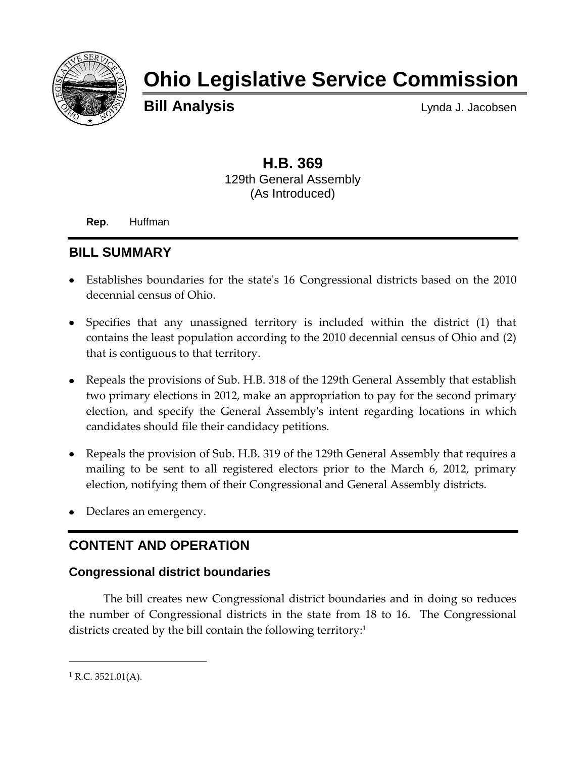

# **Ohio Legislative Service Commission**

**Bill Analysis** Lynda J. Jacobsen

## **H.B. 369** 129th General Assembly (As Introduced)

**Rep**. Huffman

## **BILL SUMMARY**

- Establishes boundaries for the state's 16 Congressional districts based on the 2010 decennial census of Ohio.
- Specifies that any unassigned territory is included within the district (1) that contains the least population according to the 2010 decennial census of Ohio and (2) that is contiguous to that territory.
- Repeals the provisions of Sub. H.B. 318 of the 129th General Assembly that establish two primary elections in 2012, make an appropriation to pay for the second primary election, and specify the General Assembly's intent regarding locations in which candidates should file their candidacy petitions.
- Repeals the provision of Sub. H.B. 319 of the 129th General Assembly that requires a mailing to be sent to all registered electors prior to the March 6, 2012, primary election, notifying them of their Congressional and General Assembly districts.
- Declares an emergency.

# **CONTENT AND OPERATION**

## **Congressional district boundaries**

The bill creates new Congressional district boundaries and in doing so reduces the number of Congressional districts in the state from 18 to 16. The Congressional districts created by the bill contain the following territory:<sup>1</sup>

 $\overline{a}$ 

 $1$  R.C. 3521.01(A).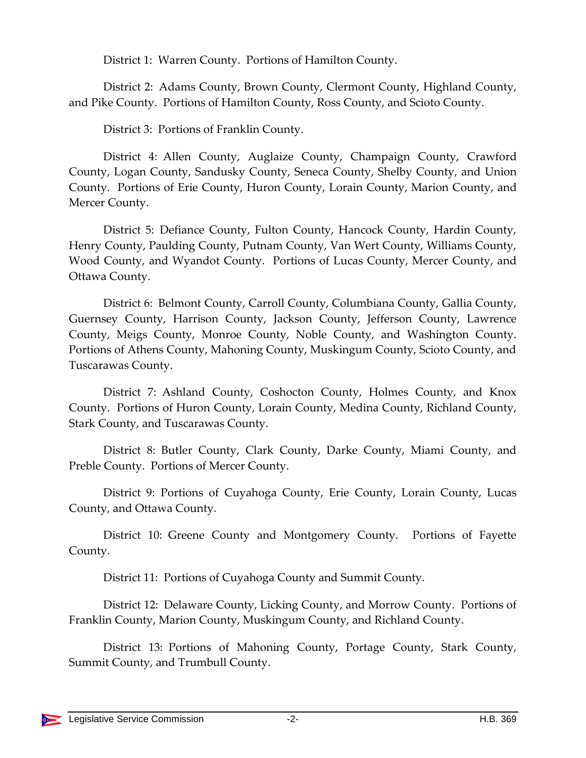District 1: Warren County. Portions of Hamilton County.

District 2: Adams County, Brown County, Clermont County, Highland County, and Pike County. Portions of Hamilton County, Ross County, and Scioto County.

District 3: Portions of Franklin County.

District 4: Allen County, Auglaize County, Champaign County, Crawford County, Logan County, Sandusky County, Seneca County, Shelby County, and Union County. Portions of Erie County, Huron County, Lorain County, Marion County, and Mercer County.

District 5: Defiance County, Fulton County, Hancock County, Hardin County, Henry County, Paulding County, Putnam County, Van Wert County, Williams County, Wood County, and Wyandot County. Portions of Lucas County, Mercer County, and Ottawa County.

District 6: Belmont County, Carroll County, Columbiana County, Gallia County, Guernsey County, Harrison County, Jackson County, Jefferson County, Lawrence County, Meigs County, Monroe County, Noble County, and Washington County. Portions of Athens County, Mahoning County, Muskingum County, Scioto County, and Tuscarawas County.

District 7: Ashland County, Coshocton County, Holmes County, and Knox County. Portions of Huron County, Lorain County, Medina County, Richland County, Stark County, and Tuscarawas County.

District 8: Butler County, Clark County, Darke County, Miami County, and Preble County. Portions of Mercer County.

District 9: Portions of Cuyahoga County, Erie County, Lorain County, Lucas County, and Ottawa County.

District 10: Greene County and Montgomery County. Portions of Fayette County.

District 11: Portions of Cuyahoga County and Summit County.

District 12: Delaware County, Licking County, and Morrow County. Portions of Franklin County, Marion County, Muskingum County, and Richland County.

District 13: Portions of Mahoning County, Portage County, Stark County, Summit County, and Trumbull County.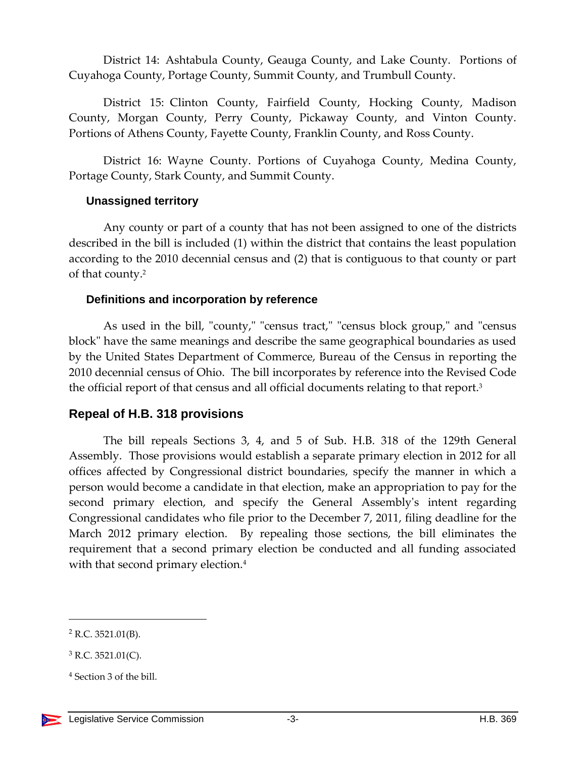District 14: Ashtabula County, Geauga County, and Lake County. Portions of Cuyahoga County, Portage County, Summit County, and Trumbull County.

District 15: Clinton County, Fairfield County, Hocking County, Madison County, Morgan County, Perry County, Pickaway County, and Vinton County. Portions of Athens County, Fayette County, Franklin County, and Ross County.

District 16: Wayne County. Portions of Cuyahoga County, Medina County, Portage County, Stark County, and Summit County.

#### **Unassigned territory**

Any county or part of a county that has not been assigned to one of the districts described in the bill is included (1) within the district that contains the least population according to the 2010 decennial census and (2) that is contiguous to that county or part of that county.<sup>2</sup>

#### **Definitions and incorporation by reference**

As used in the bill, "county," "census tract," "census block group," and "census block" have the same meanings and describe the same geographical boundaries as used by the United States Department of Commerce, Bureau of the Census in reporting the 2010 decennial census of Ohio. The bill incorporates by reference into the Revised Code the official report of that census and all official documents relating to that report.<sup>3</sup>

## **Repeal of H.B. 318 provisions**

The bill repeals Sections 3, 4, and 5 of Sub. H.B. 318 of the 129th General Assembly. Those provisions would establish a separate primary election in 2012 for all offices affected by Congressional district boundaries, specify the manner in which a person would become a candidate in that election, make an appropriation to pay for the second primary election, and specify the General Assembly's intent regarding Congressional candidates who file prior to the December 7, 2011, filing deadline for the March 2012 primary election. By repealing those sections, the bill eliminates the requirement that a second primary election be conducted and all funding associated with that second primary election.<sup>4</sup>

 $\overline{a}$ 

 $2$  R.C. 3521.01(B).

 $3$  R.C. 3521.01(C).

<sup>4</sup> Section 3 of the bill.